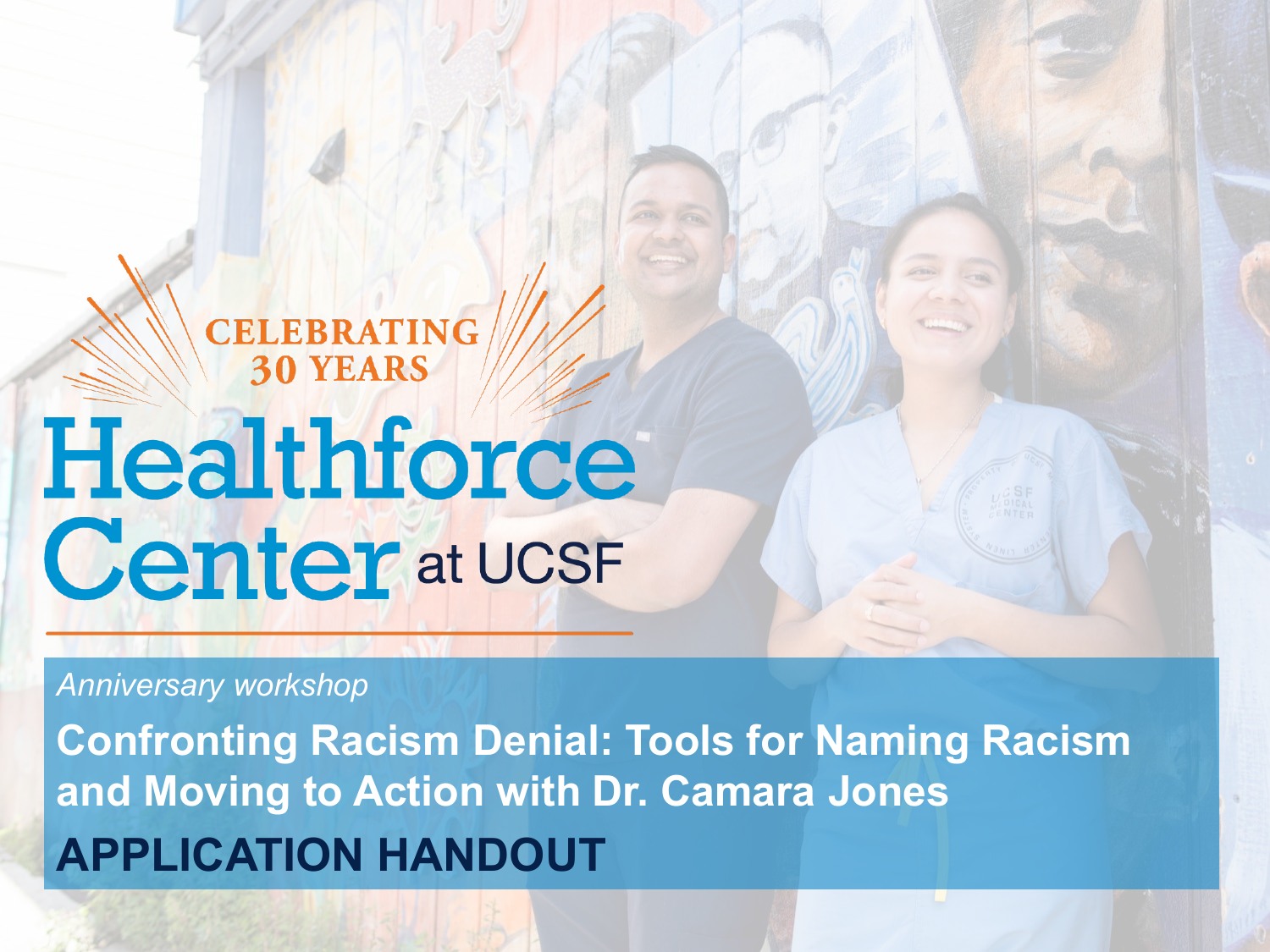## **CELEBRATING<br>30 YEARS**

# Healthforce **Center** at UCSF

#### *Anniversary workshop*

**Confronting Racism Denial: Tools for Naming Racism and Moving to Action with Dr. Camara Jones APPLICATION HANDOUT**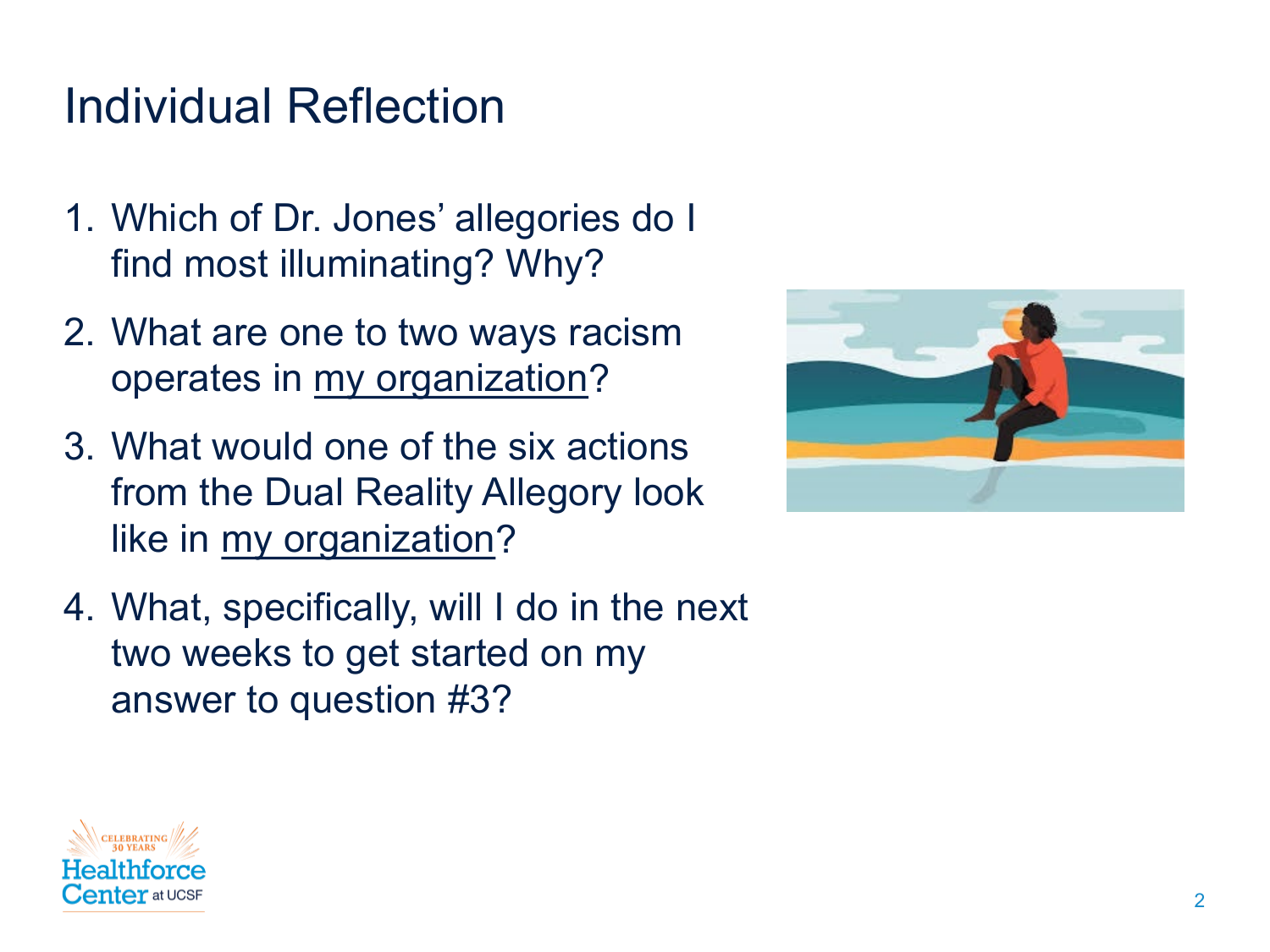### Individual Reflection

- 1. Which of Dr. Jones' allegories do I find most illuminating? Why?
- 2. What are one to two ways racism operates in my organization?
- 3. What would one of the six actions from the Dual Reality Allegory look like in my organization?
- 4. What, specifically, will I do in the next two weeks to get started on my answer to question #3?



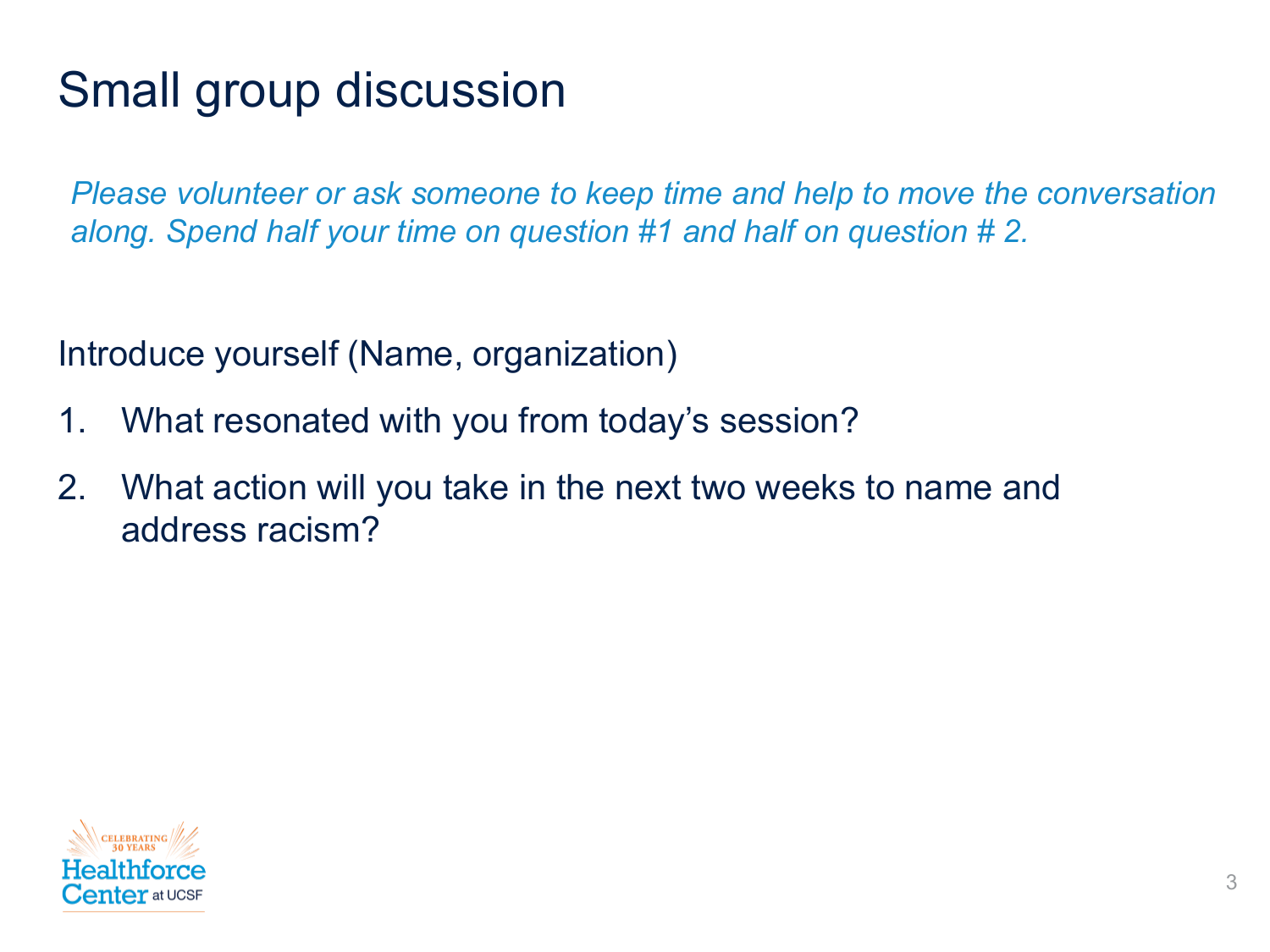## Small group discussion

*Please volunteer or ask someone to keep time and help to move the conversation along. Spend half your time on question #1 and half on question # 2.* 

Introduce yourself (Name, organization)

- 1. What resonated with you from today's session?
- 2. What action will you take in the next two weeks to name and address racism?

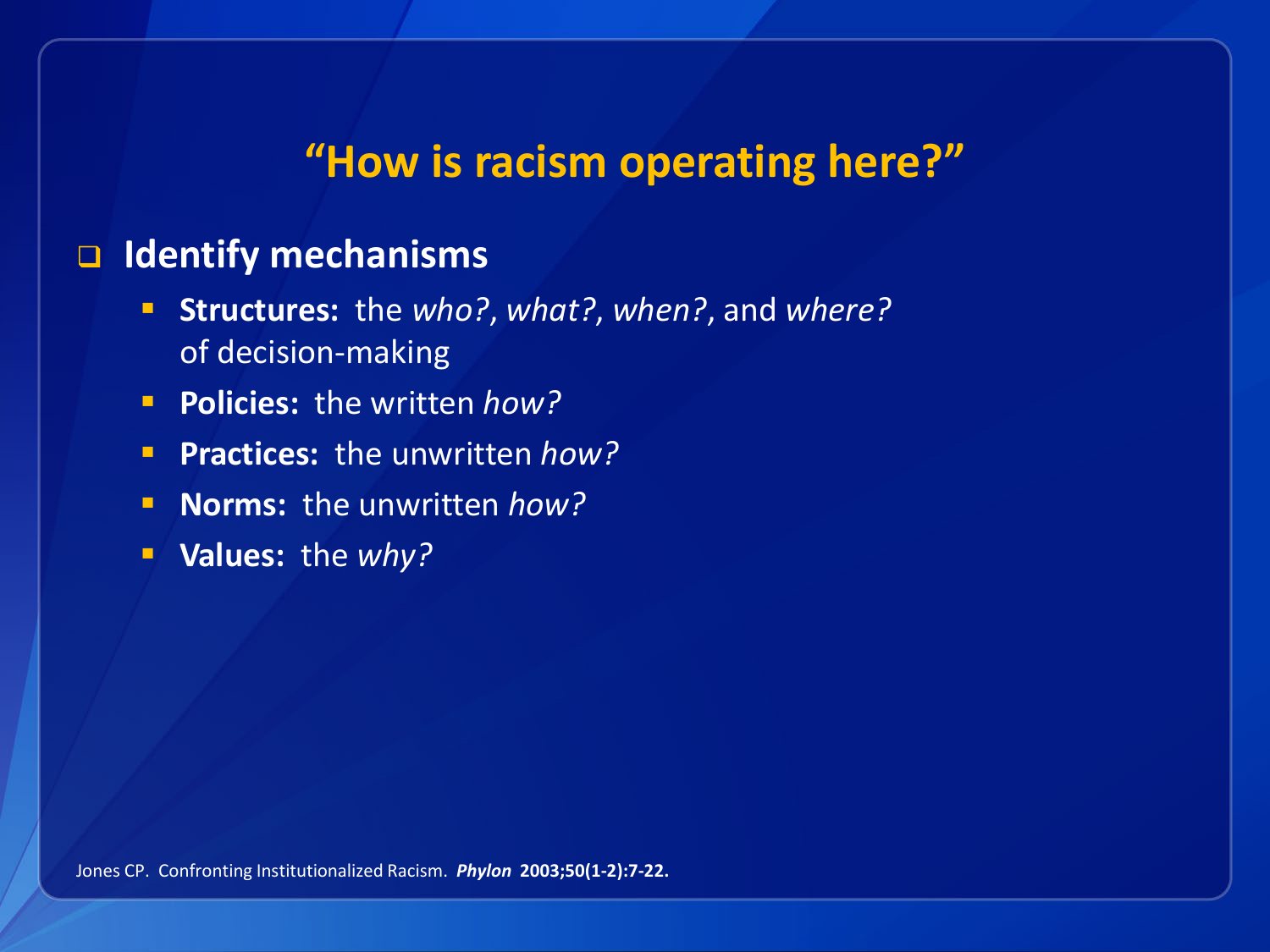#### **"How is racism operating here?"**

#### **Identify mechanisms**

- **Structures:** the *who?*, *what?*, *when?*, and *where?* of decision-making
- **Policies:** the written *how?*
- **Practices:** the unwritten *how?*
- **Norms:** the unwritten *how?*
- **Values:** the *why?*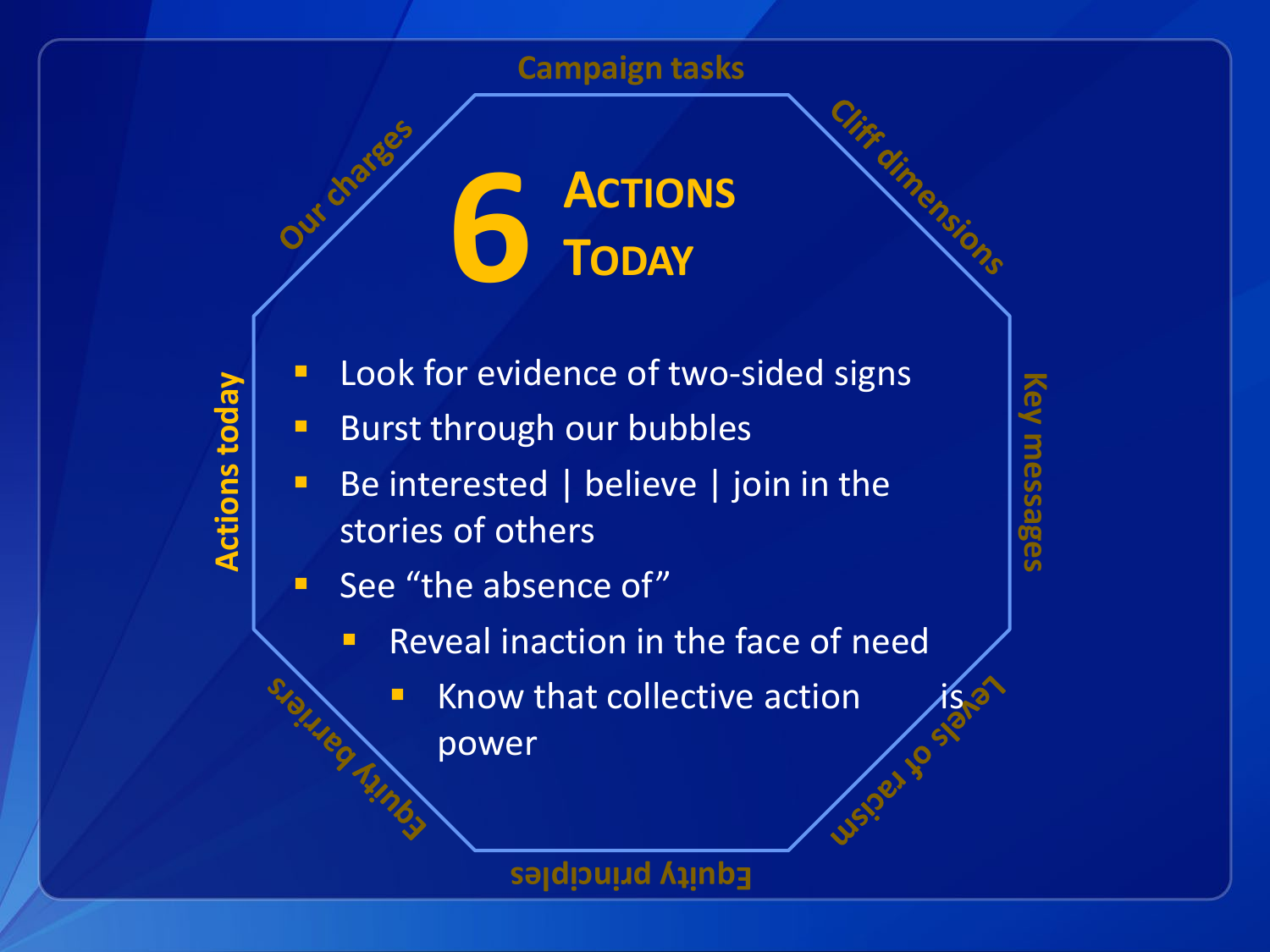**Campaign tasks**

**6 ACTIONS TODAY**

- **Actions today Actions toda**
- **Look for evidence of two-sided signs**
- **Burst through our bubbles**
- Be interested | believe | join in the stories of others
- **See "the absence of"** 
	- **Reveal inaction in the face of need** 
		- Know that collective action power

**Equity principles**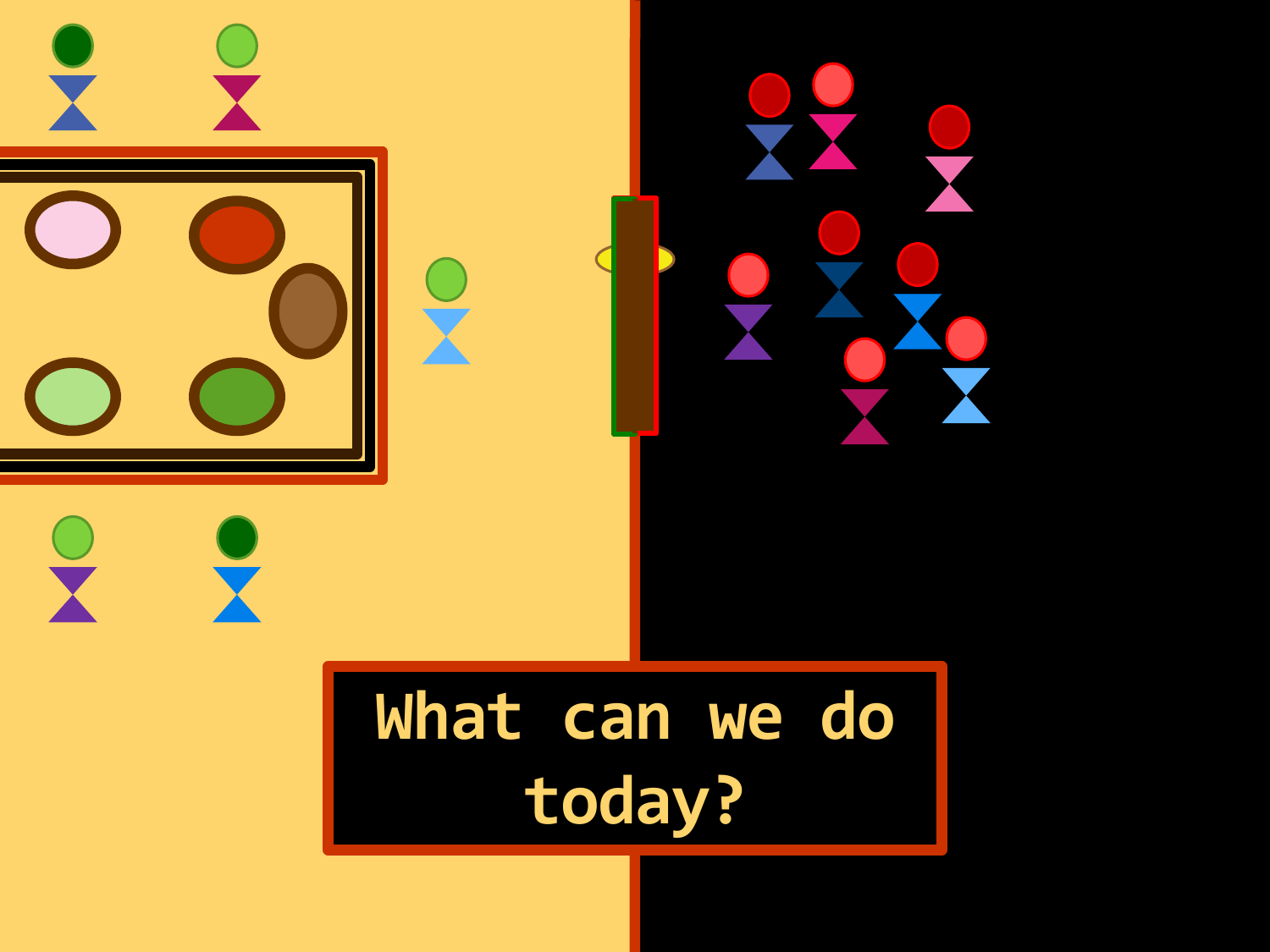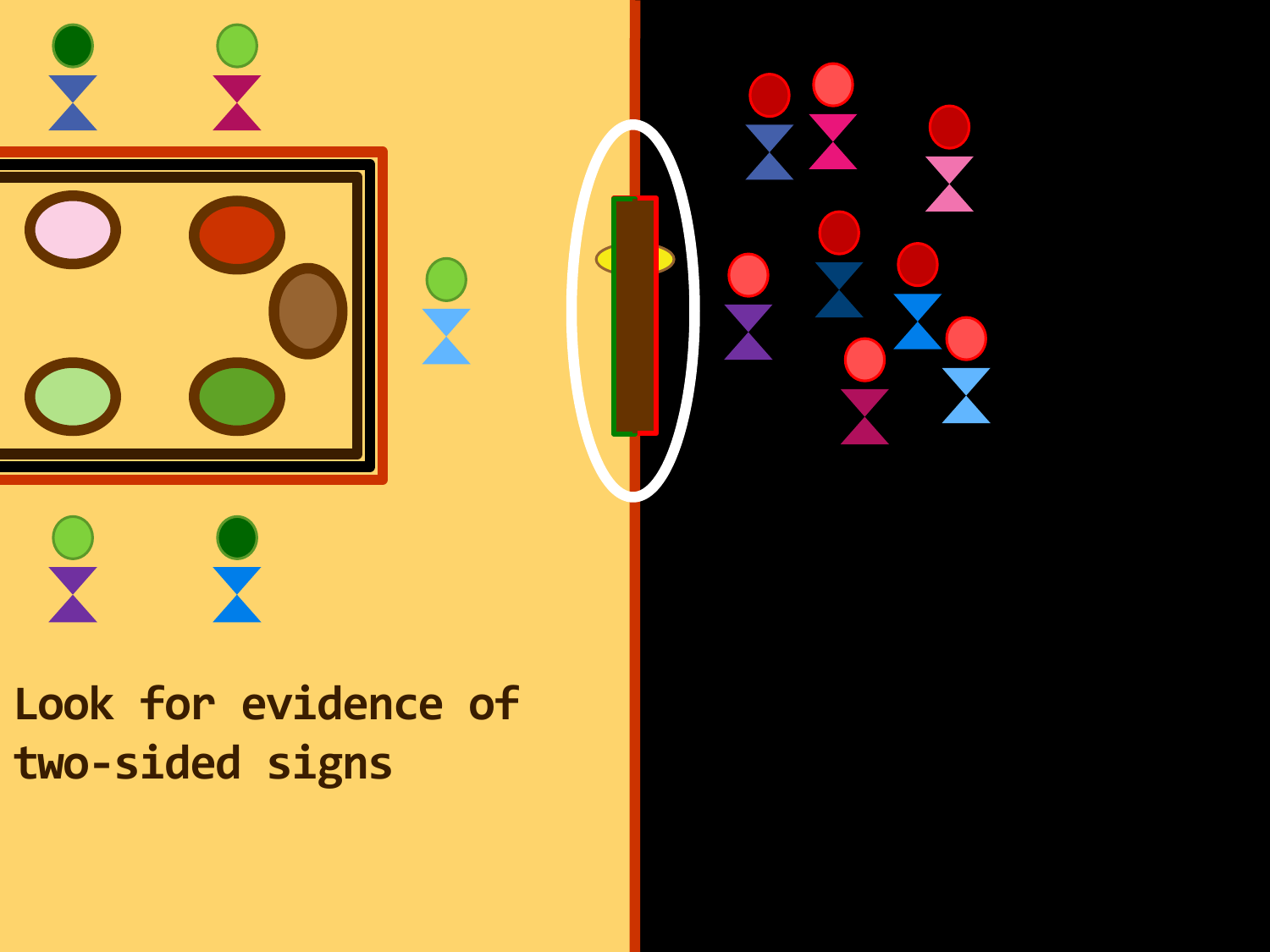

## **Look for evidence of two-sided signs**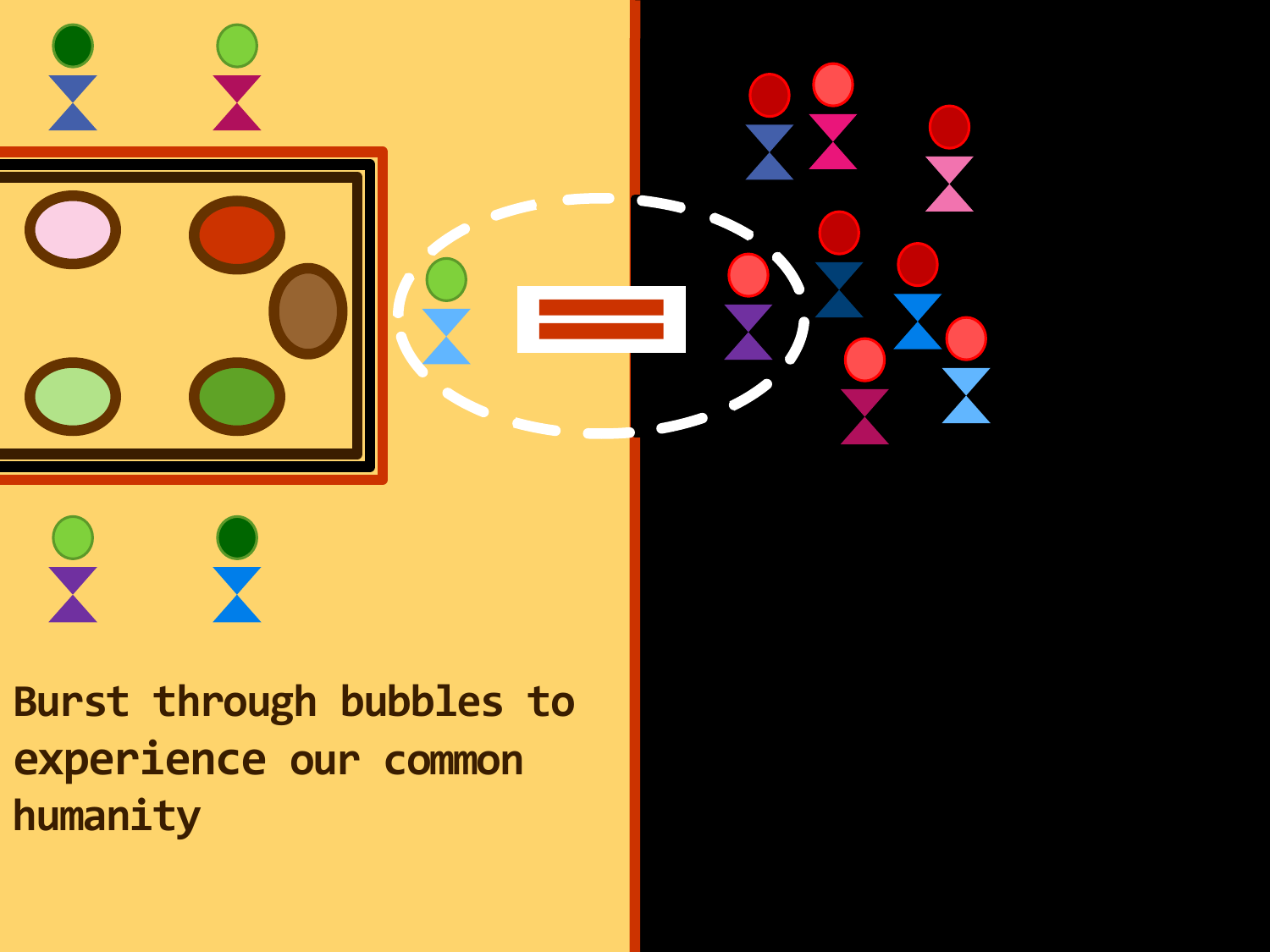

**Burst through bubbles to experience our common humanity**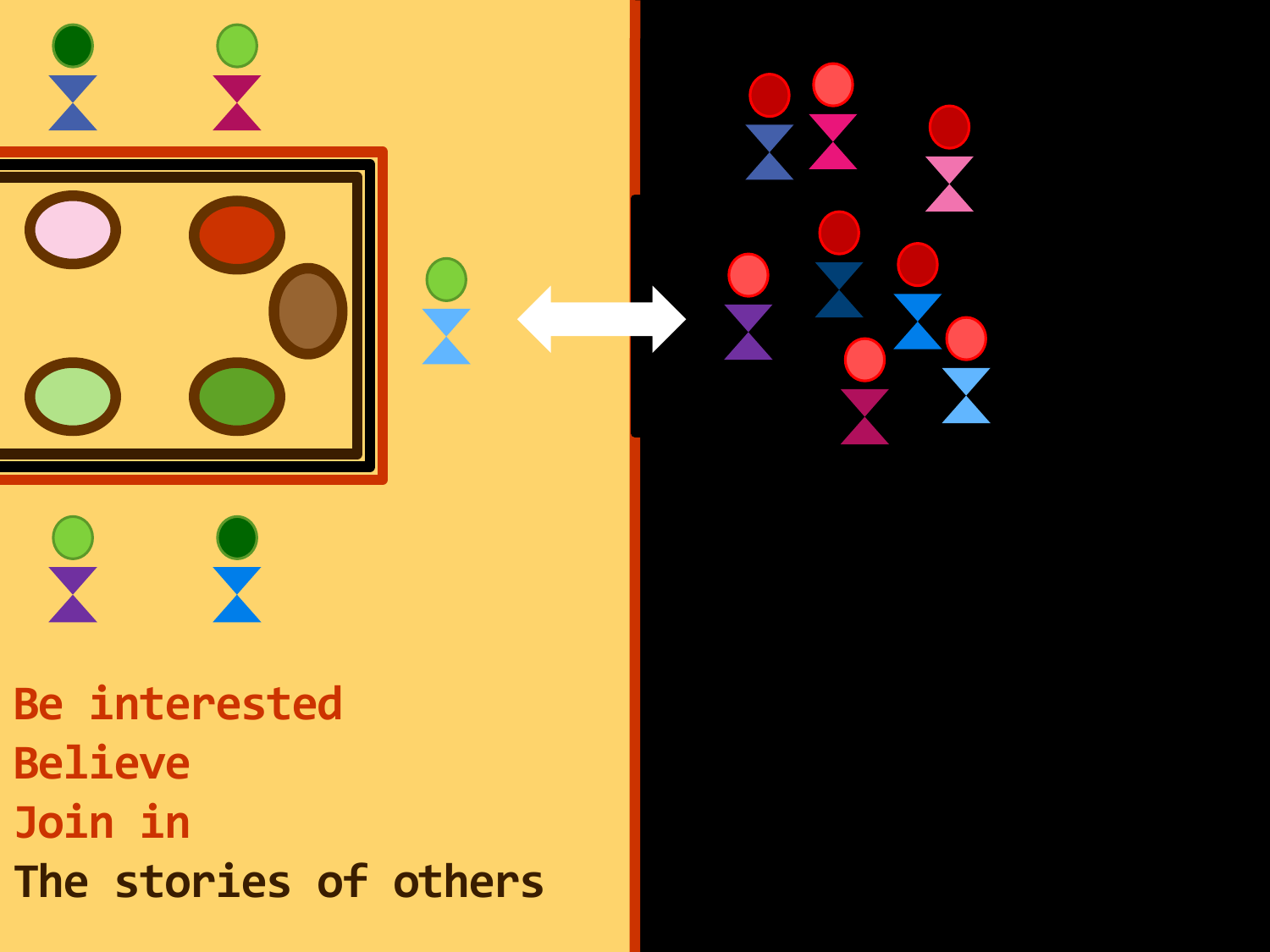

**Be interested Believe Join in The stories of others**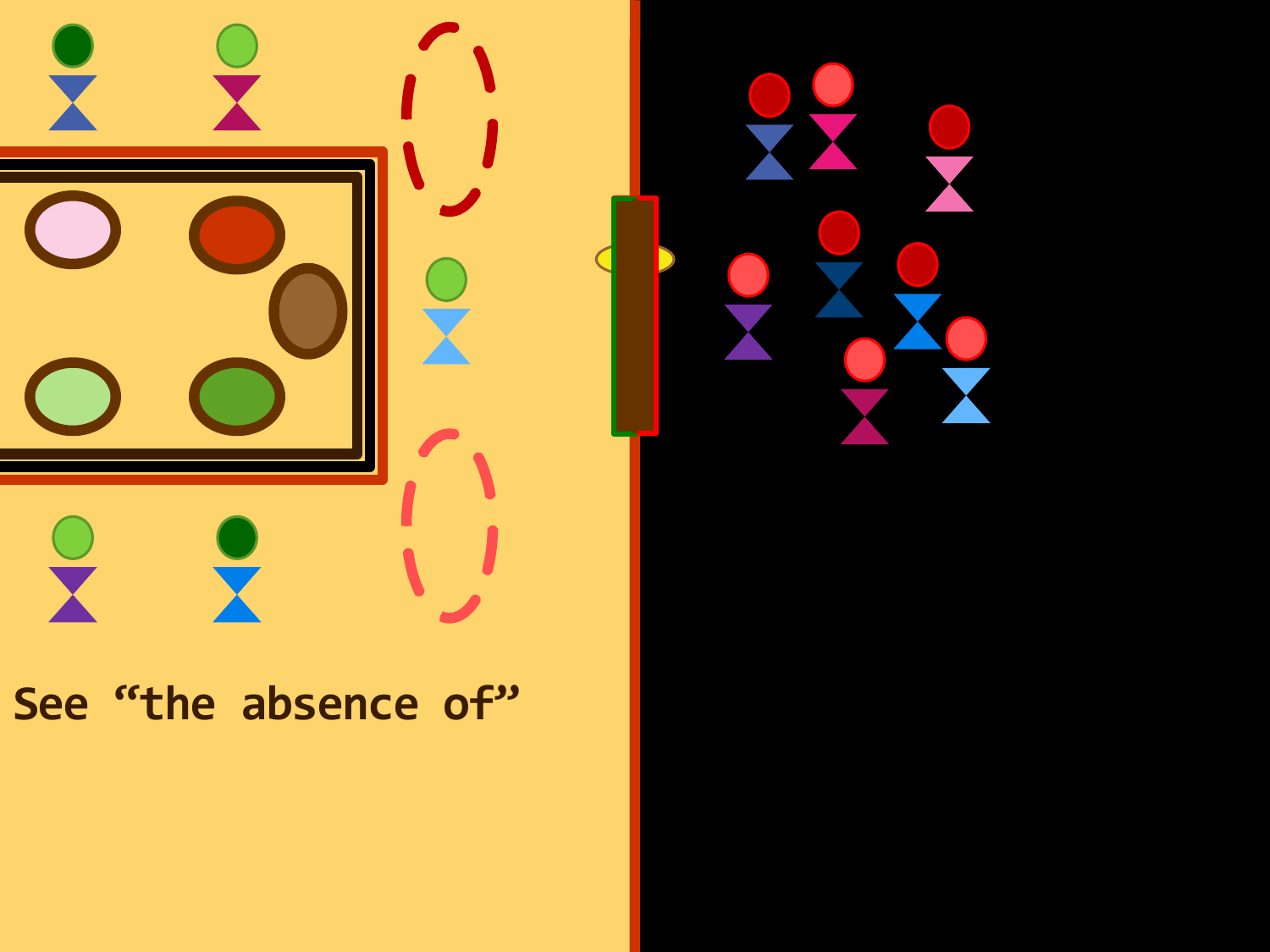

#### **See "the absence of"**

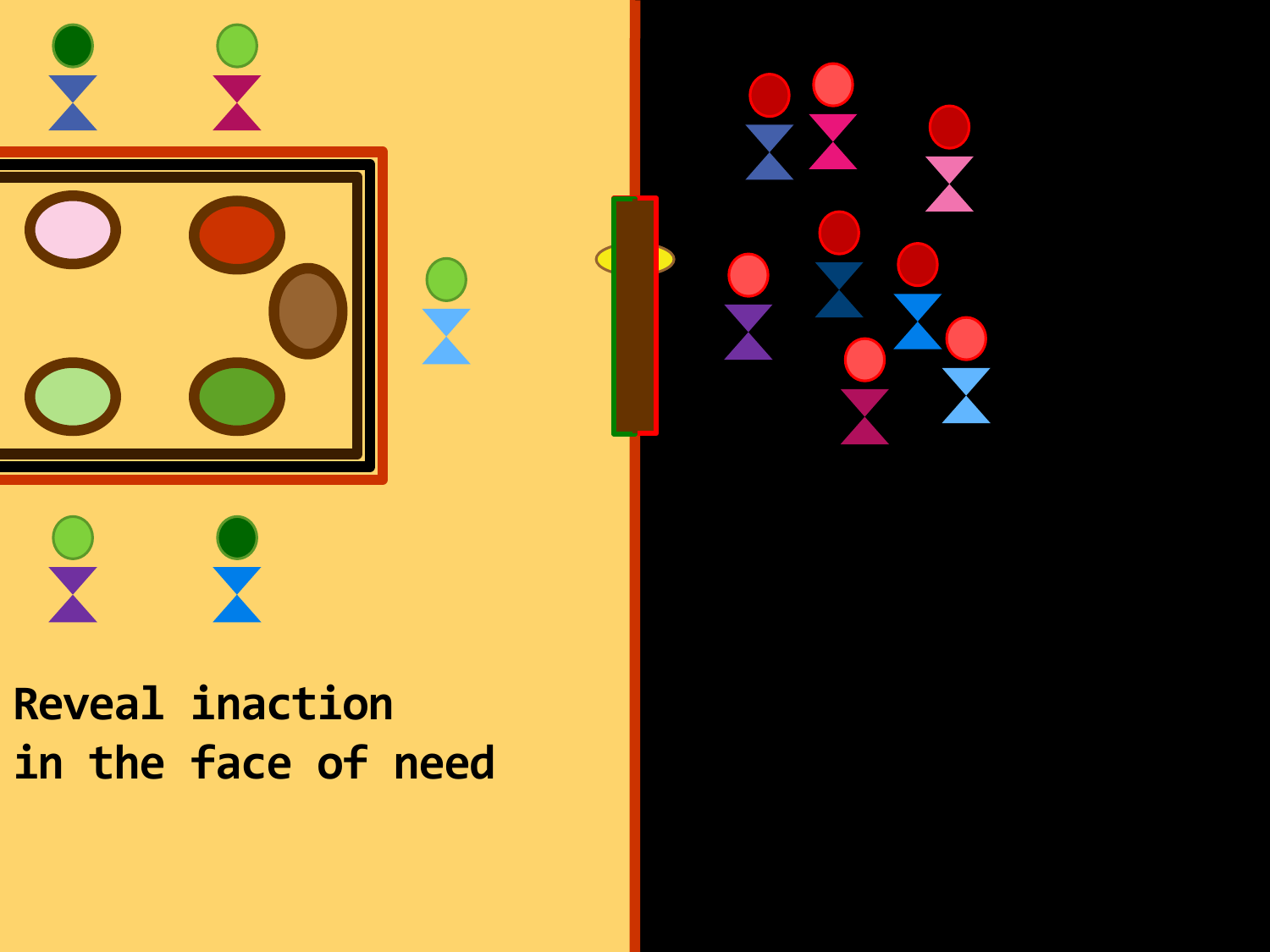

## **Reveal inaction in the face of need**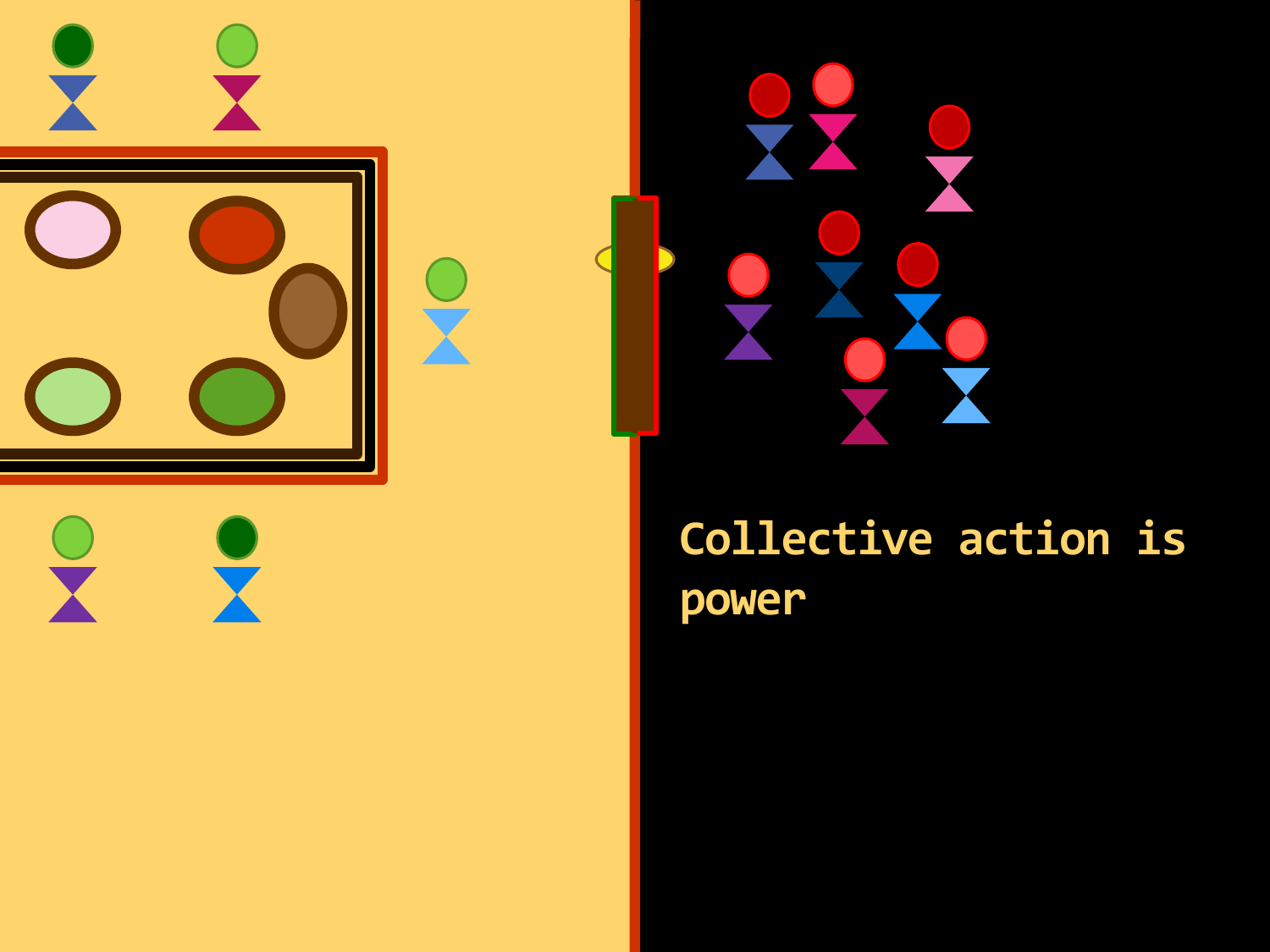

 $\begin{pmatrix} 1 \\ 1 \end{pmatrix}$ 



## **Collective action is power**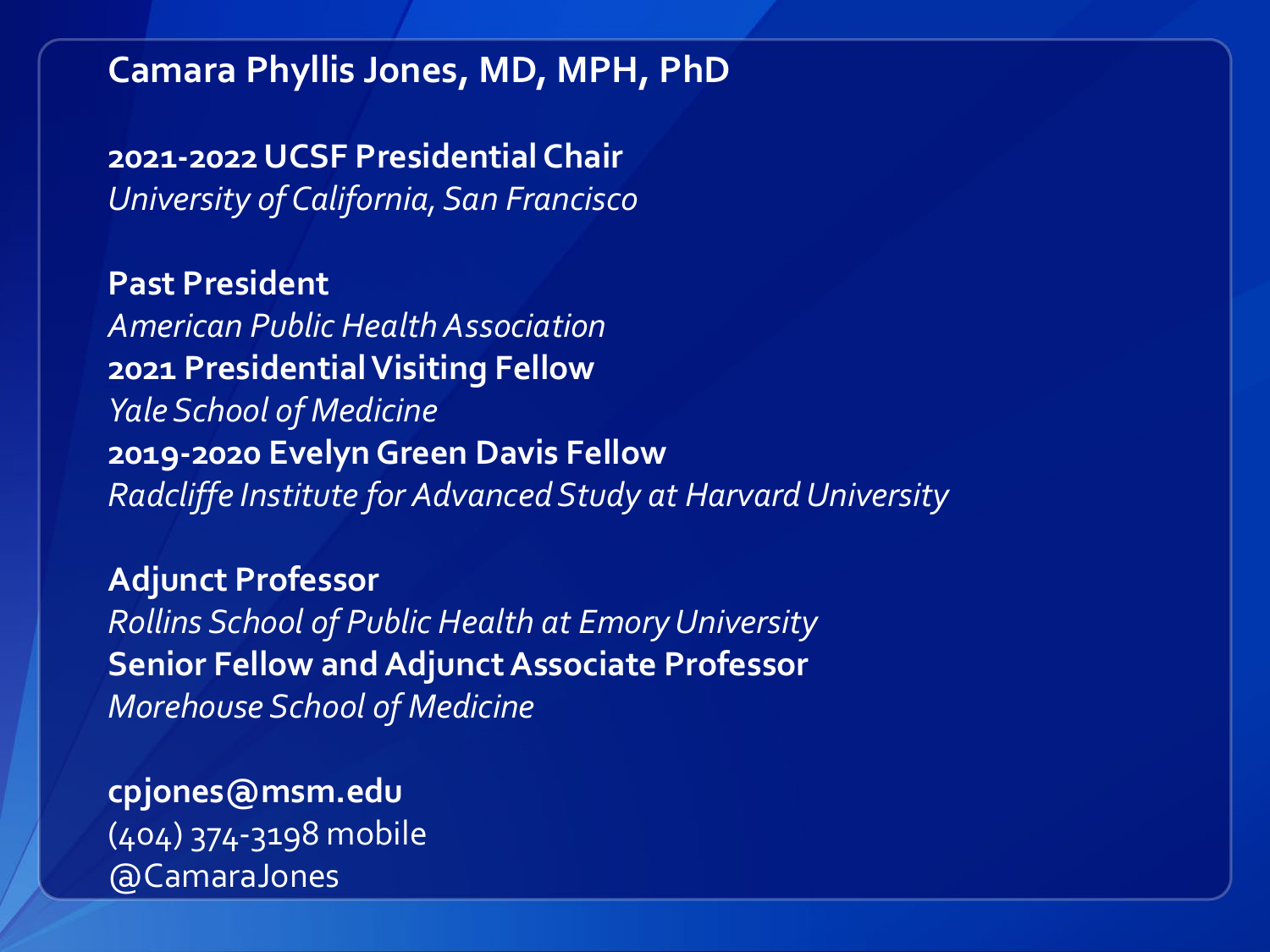**Camara Phyllis Jones, MD, MPH, PhD**

**2021-2022 UCSF Presidential Chair** *University of California, San Francisco*

**Past President** *American Public Health Association* **2021 Presidential Visiting Fellow** *Yale School of Medicine* **2019-2020 Evelyn Green Davis Fellow** *Radcliffe Institute for Advanced Study at Harvard University*

**Adjunct Professor** *Rollins School of Public Health at Emory University* **Senior Fellow and Adjunct Associate Professor** *Morehouse School of Medicine*

**cpjones@msm.edu** (404) 374-3198 mobile @CamaraJones